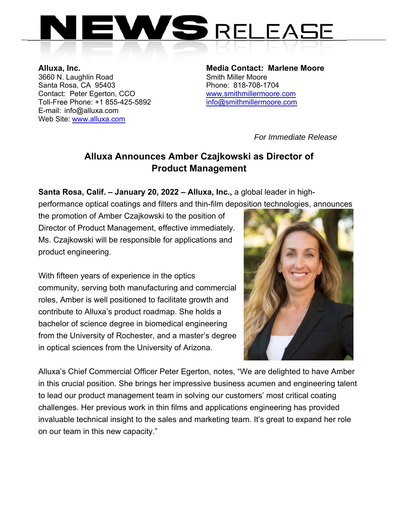

3660 N. Laughlin Road Santa Rosa, CA 95403 Phone: 818-708-1704 Contact: Peter Egerton, CCO www.smithmillermoore.com Toll-Free Phone: +1 855-425-5892 info@smithmillermoore.com E-mail: info@alluxa.com Web Site: www.alluxa.com

**Alluxa, Inc. Alluxa, Inc. Alluxa, Inc.** Media Contact: Marlene Moore 3660 N. Laughlin Road

*For Immediate Release* 

## **Alluxa Announces Amber Czajkowski as Director of Product Management**

**Santa Rosa, Calif. – January 20, 2022 – Alluxa, Inc.,** a global leader in high-

performance optical coatings and filters and thin-film deposition technologies, announces

the promotion of Amber Czajkowski to the position of Director of Product Management, effective immediately. Ms. Czajkowski will be responsible for applications and product engineering.

With fifteen years of experience in the optics community, serving both manufacturing and commercial roles, Amber is well positioned to facilitate growth and contribute to Alluxa's product roadmap. She holds a bachelor of science degree in biomedical engineering from the University of Rochester, and a master's degree in optical sciences from the University of Arizona.



Alluxa's Chief Commercial Officer Peter Egerton, notes, "We are delighted to have Amber in this crucial position. She brings her impressive business acumen and engineering talent to lead our product management team in solving our customers' most critical coating challenges. Her previous work in thin films and applications engineering has provided invaluable technical insight to the sales and marketing team. It's great to expand her role on our team in this new capacity."